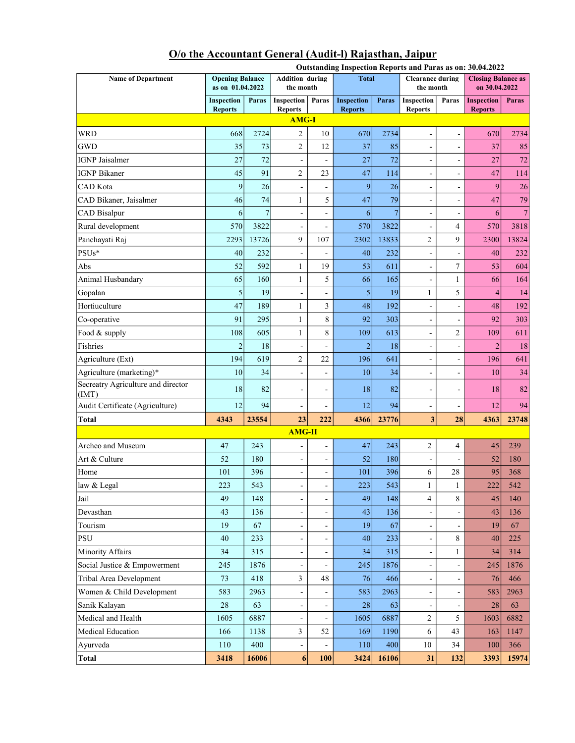|                                            |                                            |                |                                     |                          | Outstanding Inspection Reports and Paras as on: 30.04.2022 |       |                                      |                              |                                            |              |  |  |
|--------------------------------------------|--------------------------------------------|----------------|-------------------------------------|--------------------------|------------------------------------------------------------|-------|--------------------------------------|------------------------------|--------------------------------------------|--------------|--|--|
| <b>Name of Department</b>                  | <b>Opening Balance</b><br>as on 01.04.2022 |                | <b>Addition during</b><br>the month |                          | <b>Total</b>                                               |       | <b>Clearance during</b><br>the month |                              | <b>Closing Balance as</b><br>on 30.04.2022 |              |  |  |
|                                            | Inspection<br><b>Reports</b>               | Paras          | <b>Inspection</b><br><b>Reports</b> | Paras                    | <b>Inspection</b><br><b>Reports</b>                        | Paras | Inspection<br><b>Reports</b>         | Paras                        | <b>Inspection</b><br><b>Reports</b>        | <b>Paras</b> |  |  |
| <b>AMG-I</b>                               |                                            |                |                                     |                          |                                                            |       |                                      |                              |                                            |              |  |  |
| <b>WRD</b>                                 | 668                                        | 2724           | $\overline{c}$                      | 10                       | 670                                                        | 2734  | $\overline{a}$                       | $\overline{a}$               | 670                                        | 2734         |  |  |
| <b>GWD</b>                                 | 35                                         | 73             | $\overline{2}$                      | 12                       | 37                                                         | 85    | $\overline{\phantom{0}}$             | $\overline{\phantom{m}}$     | 37                                         | 85           |  |  |
| <b>IGNP</b> Jaisalmer                      | 27                                         | 72             | -                                   |                          | 27                                                         | 72    | $\overline{\phantom{0}}$             | $\overline{a}$               | 27                                         | 72           |  |  |
| <b>IGNP Bikaner</b>                        | 45                                         | 91             | $\overline{2}$                      | 23                       | 47                                                         | 114   | $\overline{a}$                       | $\overline{a}$               | 47                                         | 114          |  |  |
| <b>CAD</b> Kota                            | 9                                          | 26             | $\overline{a}$                      | $\overline{a}$           | 9                                                          | 26    | $\overline{a}$                       | ÷,                           | 9                                          | 26           |  |  |
| CAD Bikaner, Jaisalmer                     | 46                                         | 74             | 1                                   | 5                        | 47                                                         | 79    | $\overline{\phantom{0}}$             | $\overline{a}$               | 47                                         | 79           |  |  |
| CAD Bisalpur                               | 6                                          | $\overline{7}$ | -                                   | -                        | 6                                                          | 7     | $\overline{\phantom{0}}$             | $\overline{a}$               | 6                                          | 7            |  |  |
| Rural development                          | 570                                        | 3822           | $\overline{\phantom{0}}$            | -                        | 570                                                        | 3822  | $\overline{a}$                       | 4                            | 570                                        | 3818         |  |  |
| Panchayati Raj                             | 2293                                       | 13726          | 9                                   | 107                      | 2302                                                       | 13833 | 2                                    | 9                            | 2300                                       | 13824        |  |  |
| $PSUs*$                                    | 40                                         | 232            | $\overline{\phantom{0}}$            | -                        | 40                                                         | 232   | -                                    | $\overline{a}$               | 40                                         | 232          |  |  |
| Abs                                        | 52                                         | 592            | 1                                   | 19                       | 53                                                         | 611   | $\overline{a}$                       | 7                            | 53                                         | 604          |  |  |
| Animal Husbandary                          | 65                                         | 160            | $\mathbf{1}$                        | 5                        | 66                                                         | 165   | $\overline{a}$                       | 1                            | 66                                         | 164          |  |  |
| Gopalan                                    | 5                                          | 19             | $\overline{\phantom{0}}$            | -                        | 5                                                          | 19    | 1                                    | 5                            | $\overline{4}$                             | 14           |  |  |
| Hortiuculture                              | 47                                         | 189            | $\mathbf{1}$                        | 3                        | 48                                                         | 192   | $\overline{a}$                       | $\overline{a}$               | 48                                         | 192          |  |  |
| Co-operative                               | 91                                         | 295            | $\mathbf{1}$                        | $\,8\,$                  | 92                                                         | 303   | $\overline{\phantom{0}}$             | $\overline{a}$               | 92                                         | 303          |  |  |
| Food & supply                              | 108                                        | 605            | $\mathbf{1}$                        | 8                        | 109                                                        | 613   | $\blacksquare$                       | 2                            | 109                                        | 611          |  |  |
| Fishries                                   | $\overline{c}$                             | 18             | $\frac{1}{2}$                       | $\overline{a}$           | $\overline{2}$                                             | 18    | $\blacksquare$                       | $\overline{\phantom{m}}$     | $\overline{2}$                             | 18           |  |  |
| Agriculture (Ext)                          | 194                                        | 619            | $\overline{2}$                      | 22                       | 196                                                        | 641   | $\overline{a}$                       | $\overline{a}$               | 196                                        | 641          |  |  |
| Agriculture (marketing)*                   | 10                                         | 34             | -                                   | $\blacksquare$           | 10                                                         | 34    | $\overline{a}$                       | $\qquad \qquad \blacksquare$ | 10                                         | 34           |  |  |
| Secreatry Agriculture and director<br>(MT) | 18                                         | 82             | ÷                                   | -                        | 18                                                         | 82    | $\overline{a}$                       | $\overline{a}$               | 18                                         | 82           |  |  |
| Audit Certificate (Agriculture)            | 12                                         | 94             | $\overline{\phantom{a}}$            | $\overline{a}$           | 12                                                         | 94    | $\qquad \qquad \blacksquare$         | $\overline{a}$               | 12                                         | 94           |  |  |
| Total                                      | 4343                                       | 23554          | 23                                  | 222                      | 4366                                                       | 23776 | 3                                    | 28                           | 4363                                       | 23748        |  |  |
|                                            |                                            |                | $AMG-II$                            |                          |                                                            |       |                                      |                              |                                            |              |  |  |
| Archeo and Museum                          | 47                                         | 243            | -                                   | $\overline{a}$           | 47                                                         | 243   | $\overline{2}$                       | 4                            | 45                                         | 239          |  |  |
| Art & Culture                              | 52                                         | 180            | $\overline{\phantom{0}}$            | $\overline{a}$           | 52                                                         | 180   | $\overline{\phantom{0}}$             | $\overline{a}$               | 52                                         | 180          |  |  |
| Home                                       | 101                                        | 396            | $\overline{a}$                      | -                        | 101                                                        | 396   | 6                                    | 28                           | 95                                         | 368          |  |  |
| law & Legal                                | 223                                        | 543            | $\overline{\phantom{0}}$            | -                        | 223                                                        | 543   | $\mathbf{1}$                         | 1                            | 222                                        | 542          |  |  |
| Jail                                       | 49                                         | 148            | $\frac{1}{2}$                       | -                        | 49                                                         | 148   | $\overline{4}$                       | 8                            | 45                                         | 140          |  |  |
| Devasthan                                  | 43                                         | 136            | $\overline{\phantom{0}}$            | -                        | 43                                                         | 136   | -                                    | $\qquad \qquad -$            | 43                                         | 136          |  |  |
| Tourism                                    | 19                                         | 67             | -                                   | -                        | 19                                                         | 67    | $\overline{\phantom{0}}$             | $\overline{a}$               | 19                                         | 67           |  |  |
| <b>PSU</b>                                 | 40                                         | 233            | $\overline{\phantom{0}}$            | $\overline{a}$           | 40 <sup>°</sup>                                            | 233   | $\overline{\phantom{a}}$             | 8                            | 40                                         | 225          |  |  |
| Minority Affairs                           | 34                                         | 315            | $\overline{\phantom{0}}$            | $\overline{\phantom{m}}$ | 34                                                         | 315   | $\qquad \qquad \blacksquare$         | 1                            | 34                                         | 314          |  |  |
| Social Justice & Empowerment               | 245                                        | 1876           | -                                   |                          | 245                                                        | 1876  | $\qquad \qquad \blacksquare$         | -                            | 245                                        | 1876         |  |  |
| Tribal Area Development                    | 73                                         | 418            | $\mathfrak{Z}$                      | 48                       | 76                                                         | 466   | $\overline{\phantom{0}}$             | $\overline{a}$               | 76                                         | 466          |  |  |
| Women & Child Development                  | 583                                        | 2963           | $\overline{\phantom{0}}$            | $\overline{\phantom{a}}$ | 583                                                        | 2963  | $\overline{\phantom{a}}$             | $\overline{\phantom{a}}$     | 583                                        | 2963         |  |  |
| Sanik Kalayan                              | 28                                         | 63             | $\frac{1}{2}$                       | $\overline{\phantom{a}}$ | 28                                                         | 63    | $\overline{\phantom{a}}$             | $\overline{\phantom{a}}$     | 28                                         | 63           |  |  |
| Medical and Health                         | 1605                                       | 6887           | -                                   | $\overline{\phantom{a}}$ | 1605                                                       | 6887  | $\overline{c}$                       | 5                            | 1603                                       | 6882         |  |  |
| Medical Education                          | 166                                        | 1138           | 3                                   | 52                       | 169                                                        | 1190  | 6                                    | 43                           | 163                                        | 1147         |  |  |
| Ayurveda                                   | 110                                        | 400            | $\overline{\phantom{0}}$            |                          | 110                                                        | 400   | 10                                   | 34                           | 100                                        | 366          |  |  |
| <b>Total</b>                               | 3418                                       | 16006          | 6                                   | 100                      | 3424                                                       | 16106 | 31                                   | 132                          | 3393                                       | 15974        |  |  |

## O/o the Accountant General (Audit-l) Rajasthan, Jaipur